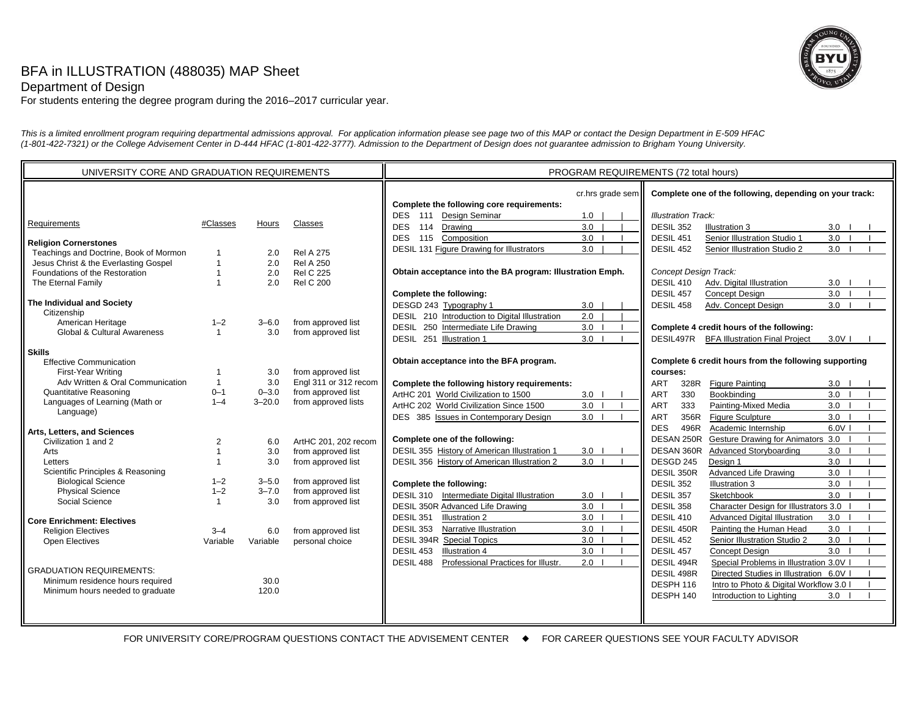# BFA in ILLUSTRATION (488035) MAP Sheet



Department of Design

For students entering the degree program during the 2016–2017 curricular year.

*This is a limited enrollment program requiring departmental admissions approval. For application information please see page two of this MAP or contact the Design Department in E-509 HFAC (1-801-422-7321) or the College Advisement Center in D-444 HFAC (1-801-422-3777). Admission to the Department of Design does not guarantee admission to Brigham Young University.*

FOR UNIVERSITY CORE/PROGRAM QUESTIONS CONTACT THE ADVISEMENT CENTER  $\quad \bullet \quad$  FOR CAREER QUESTIONS SEE YOUR FACULTY ADVISOR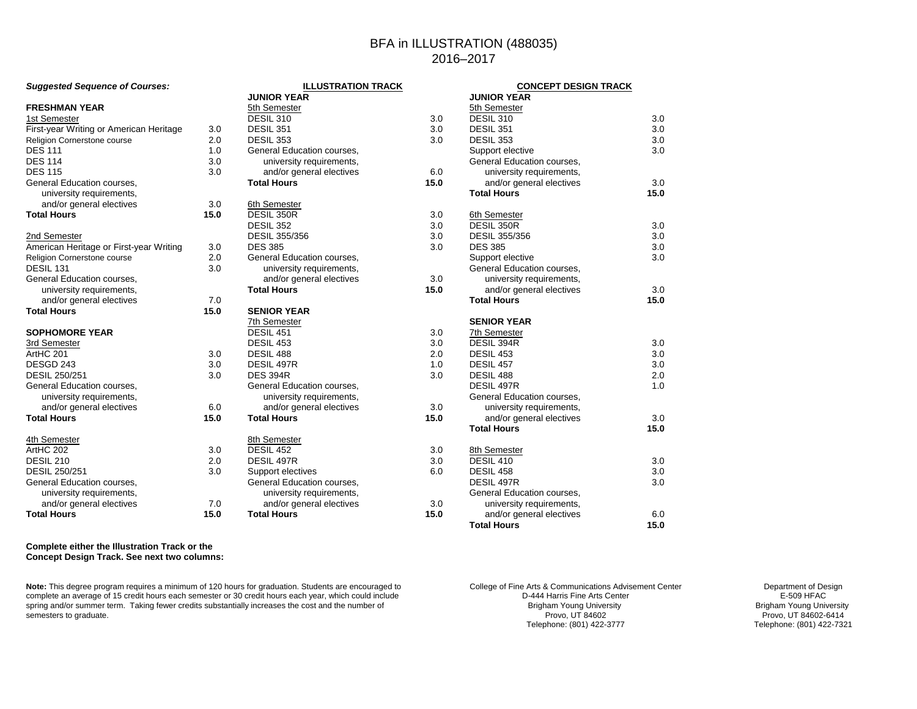# BFA in ILLUSTRATION (488035) 2016–2017

**JUNIOR YEAR**

**Total Hours 15.0**

**ILLUSTRATION TRACK**

| Suggested Sequence or Courses:          |      | <b>ILLUSIRATION TRACK</b><br><b>JUNIOR YEAR</b> |      |
|-----------------------------------------|------|-------------------------------------------------|------|
| <b>FRESHMAN YEAR</b>                    |      | 5th Semester                                    |      |
| 1st Semester                            |      | DESIL 310                                       | 3.0  |
| First-year Writing or American Heritage | 3.0  | <b>DESIL 351</b>                                | 3.0  |
| Religion Cornerstone course             | 2.0  | <b>DESIL 353</b>                                | 3.0  |
| <b>DES 111</b>                          | 1.0  | General Education courses,                      |      |
| <b>DES 114</b>                          | 3.0  | university requirements,                        |      |
| <b>DES 115</b>                          | 3.0  | and/or general electives                        | 6.0  |
| General Education courses,              |      | <b>Total Hours</b>                              | 15.0 |
| university requirements,                |      |                                                 |      |
| and/or general electives                | 3.0  | 6th Semester                                    |      |
| <b>Total Hours</b>                      | 15.0 | DESIL 350R                                      | 3.0  |
|                                         |      | DESIL 352                                       | 3.0  |
| 2nd Semester                            |      | <b>DESIL 355/356</b>                            | 3.0  |
| American Heritage or First-year Writing | 3.0  | <b>DES 385</b>                                  | 3.0  |
| Religion Cornerstone course             | 2.0  | General Education courses,                      |      |
| DESIL 131                               | 3.0  | university requirements,                        |      |
| General Education courses,              |      | and/or general electives                        | 3.0  |
| university requirements,                |      | <b>Total Hours</b>                              | 15.0 |
| and/or general electives                | 7.0  |                                                 |      |
| <b>Total Hours</b>                      | 15.0 | <b>SENIOR YEAR</b>                              |      |
|                                         |      | 7th Semester                                    |      |
| <b>SOPHOMORE YEAR</b>                   |      | DESIL 451                                       | 3.0  |
| 3rd Semester                            |      | <b>DESIL 453</b>                                | 3.0  |
| ArtHC 201                               | 3.0  | DESIL 488                                       | 2.0  |
| DESGD 243                               | 3.0  | DESIL 497R                                      | 1.0  |
| <b>DESIL 250/251</b>                    | 3.0  | <b>DES 394R</b>                                 | 3.0  |
| General Education courses,              |      | General Education courses,                      |      |
| university requirements,                |      | university requirements,                        |      |
| and/or general electives                | 6.0  | and/or general electives                        | 3.0  |
| <b>Total Hours</b>                      | 15.0 | <b>Total Hours</b>                              | 15.0 |
| 4th Semester                            |      | 8th Semester                                    |      |
| ArtHC 202                               | 3.0  | <b>DESIL 452</b>                                | 3.0  |
| <b>DESIL 210</b>                        | 2.0  | DESIL 497R                                      | 3.0  |
| <b>DESIL 250/251</b>                    | 3.0  | Support electives                               | 6.0  |
| General Education courses,              |      | General Education courses,                      |      |
| university requirements,                |      | university requirements,                        |      |
| and/or general electives                | 7.0  | and/or general electives                        | 3.0  |
| <b>Total Hours</b>                      | 15.0 | <b>Total Hours</b>                              | 15.0 |

5th Semester  $\overline{DESIL}$  310 3.0 DESIL 351 3.0 DESIL 353 3.0 Support elective 3.0 General Education courses, university requirements, and/or general electives 3.0 **Total Hours 15.0**6th Semester DESIL 350R 3.0 DESIL 355/356 3.0 DES 385 3.0  $3.0$ Support elective General Education courses, university requirements, and/or general electives 3.0 **Total Hours 15.0SENIOR YEAR**7th Semester $\overline{\text{DESIL 394R}}$  3.0 DESIL 453 3.0 DESIL 457 3.0 DESIL 488 2.0DESIL 497R 1.0General Education courses, university requirements, and/or general electives 3.0<br> **al Hours** 15.0  $Total Hours$ <u>8th Semester</u> DESIL 410 3.0 DESIL 458 3.0 DESIL 497R 3.0 General Education courses, university requirements, and/or general electives 6.0<br> **al Hours** 15.0

**CONCEPT DESIGN TRACK**

**Complete either the Illustration Track or the Concept Design Track. See next two columns:**

*Suggested Sequence of Courses:*

**Note:** This degree program requires a minimum of 120 hours for graduation. Students are encouraged to complete an average of 15 credit hours each semester or 30 credit hours each year, which could include spring and/or summer term. Taking fewer credits substantially increases the cost and the number of semesters to graduate.

College of Fine Arts & Communications Advisement Center D-444 Harris Fine Arts Center Brigham Young University Provo, UT 84602 Telephone: (801) 422-3777

Department of Design E-509 HFAC Brigham Young University Provo, UT 84602-6414 Telephone: (801) 422-7321